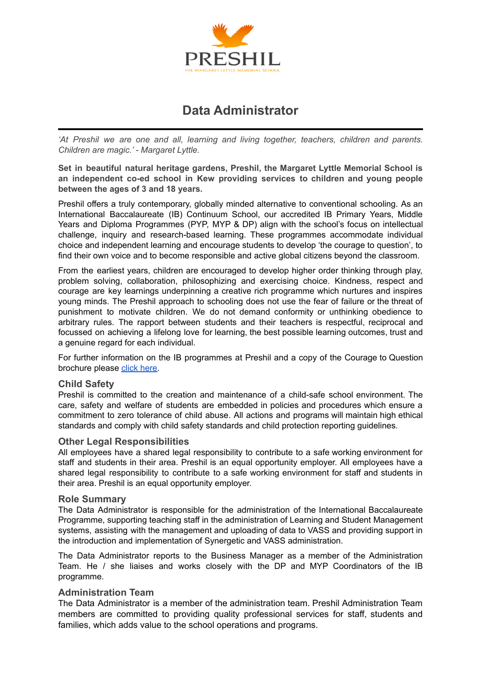

# **Data Administrator**

*'At Preshil we are one and all, learning and living together, teachers, children and parents. Children are magic.' - Margaret Lyttle.*

**Set in beautiful natural heritage gardens, Preshil, the Margaret Lyttle Memorial School is an independent co-ed school in Kew providing services to children and young people between the ages of 3 and 18 years.**

Preshil offers a truly contemporary, globally minded alternative to conventional schooling. As an International Baccalaureate (IB) Continuum School, our accredited IB Primary Years, Middle Years and Diploma Programmes (PYP, MYP & DP) align with the school's focus on intellectual challenge, inquiry and research-based learning. These programmes accommodate individual choice and independent learning and encourage students to develop 'the courage to question', to find their own voice and to become responsible and active global citizens beyond the classroom.

From the earliest years, children are encouraged to develop higher order thinking through play, problem solving, collaboration, philosophizing and exercising choice. Kindness, respect and courage are key learnings underpinning a creative rich programme which nurtures and inspires young minds. The Preshil approach to schooling does not use the fear of failure or the threat of punishment to motivate children. We do not demand conformity or unthinking obedience to arbitrary rules. The rapport between students and their teachers is respectful, reciprocal and focussed on achieving a lifelong love for learning, the best possible learning outcomes, trust and a genuine regard for each individual.

For further information on the IB programmes at Preshil and a copy of the Courage to Question brochure please [click here.](https://preshil.vic.edu.au/collateral-for-open-mornings/)

#### **Child Safety**

Preshil is committed to the creation and maintenance of a child-safe school environment. The care, safety and welfare of students are embedded in policies and procedures which ensure a commitment to zero tolerance of child abuse. All actions and programs will maintain high ethical standards and comply with child safety standards and child protection reporting guidelines.

#### **Other Legal Responsibilities**

All employees have a shared legal responsibility to contribute to a safe working environment for staff and students in their area. Preshil is an equal opportunity employer. All employees have a shared legal responsibility to contribute to a safe working environment for staff and students in their area. Preshil is an equal opportunity employer.

#### **Role Summary**

The Data Administrator is responsible for the administration of the International Baccalaureate Programme, supporting teaching staff in the administration of Learning and Student Management systems, assisting with the management and uploading of data to VASS and providing support in the introduction and implementation of Synergetic and VASS administration.

The Data Administrator reports to the Business Manager as a member of the Administration Team. He / she liaises and works closely with the DP and MYP Coordinators of the IB programme.

#### **Administration Team**

The Data Administrator is a member of the administration team. Preshil Administration Team members are committed to providing quality professional services for staff, students and families, which adds value to the school operations and programs.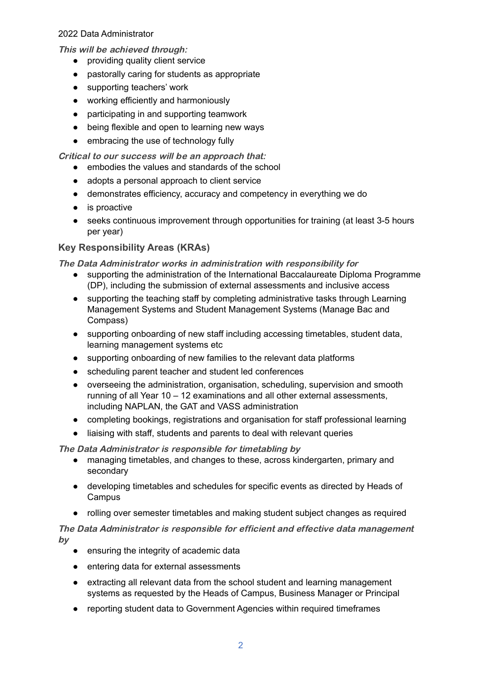## 2022 Data Administrator

This will be achieved through:

- providing quality client service
- pastorally caring for students as appropriate
- supporting teachers' work
- working efficiently and harmoniously
- participating in and supporting teamwork
- being flexible and open to learning new ways
- embracing the use of technology fully

Critical to our success will be an approach that:

- embodies the values and standards of the school
- adopts a personal approach to client service
- demonstrates efficiency, accuracy and competency in everything we do
- is proactive
- seeks continuous improvement through opportunities for training (at least 3-5 hours per year)

# **Key Responsibility Areas (KRAs)**

The Data Administrator works in administration with responsibility for

- supporting the administration of the International Baccalaureate Diploma Programme (DP), including the submission of external assessments and inclusive access
- supporting the teaching staff by completing administrative tasks through Learning Management Systems and Student Management Systems (Manage Bac and Compass)
- supporting onboarding of new staff including accessing timetables, student data, learning management systems etc
- supporting onboarding of new families to the relevant data platforms
- scheduling parent teacher and student led conferences
- overseeing the administration, organisation, scheduling, supervision and smooth running of all Year 10 – 12 examinations and all other external assessments, including NAPLAN, the GAT and VASS administration
- completing bookings, registrations and organisation for staff professional learning
- liaising with staff, students and parents to deal with relevant queries

The Data Administrator is responsible for timetabling by

- managing timetables, and changes to these, across kindergarten, primary and secondary
- developing timetables and schedules for specific events as directed by Heads of Campus
- rolling over semester timetables and making student subject changes as required

The Data Administrator is responsible for efficient and effective data management by

- ensuring the integrity of academic data
- entering data for external assessments
- extracting all relevant data from the school student and learning management systems as requested by the Heads of Campus, Business Manager or Principal
- reporting student data to Government Agencies within required timeframes